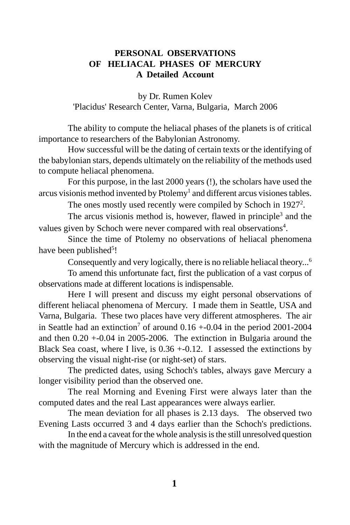# **PERSONAL OBSERVATIONS OF HELIACAL PHASES OF MERCURY A Detailed Account**

by Dr. Rumen Kolev 'Placidus' Research Center, Varna, Bulgaria, March 2006

The ability to compute the heliacal phases of the planets is of critical importance to researchers of the Babylonian Astronomy.

How successful will be the dating of certain texts or the identifying of the babylonian stars, depends ultimately on the reliability of the methods used to compute heliacal phenomena.

For this purpose, in the last 2000 years (!), the scholars have used the arcus visionis method invented by Ptolemy<sup>1</sup> and different arcus visiones tables.

The ones mostly used recently were compiled by Schoch in 1927<sup>2</sup>.

The arcus visionis method is, however, flawed in principle<sup>3</sup> and the values given by Schoch were never compared with real observations<sup>4</sup>.

Since the time of Ptolemy no observations of heliacal phenomena have been published<sup>5</sup>!

Consequently and very logically, there is no reliable heliacal theory...6

To amend this unfortunate fact, first the publication of a vast corpus of observations made at different locations is indispensable.

Here I will present and discuss my eight personal observations of different heliacal phenomena of Mercury. I made them in Seattle, USA and Varna, Bulgaria. These two places have very different atmospheres. The air in Seattle had an extinction<sup>7</sup> of around  $0.16 + 0.04$  in the period 2001-2004 and then 0.20 +-0.04 in 2005-2006. The extinction in Bulgaria around the Black Sea coast, where I live, is  $0.36 + 0.12$ . I assessed the extinctions by observing the visual night-rise (or night-set) of stars.

The predicted dates, using Schoch's tables, always gave Mercury a longer visibility period than the observed one.

The real Morning and Evening First were always later than the computed dates and the real Last appearances were always earlier.

The mean deviation for all phases is 2.13 days. The observed two Evening Lasts occurred 3 and 4 days earlier than the Schoch's predictions.

In the end a caveat for the whole analysis is the still unresolved question with the magnitude of Mercury which is addressed in the end.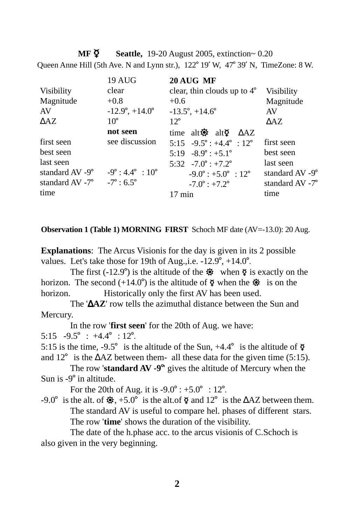**MF**  $\Phi$  **Seattle,** 19-20 August 2005, extinction~ 0.20 Queen Anne Hill (5th Ave. N and Lynn str.),  $122^{\circ}$  19' W,  $47^{\circ}$  39' N, TimeZone: 8 W.

|                                                       | <b>19 AUG</b>                    | 20 AUG MF                                      |                 |
|-------------------------------------------------------|----------------------------------|------------------------------------------------|-----------------|
| Visibility                                            | clear                            | clear, thin clouds up to $4^{\circ}$           | Visibility      |
| Magnitude                                             | $+0.8$                           | $+0.6$                                         | Magnitude       |
| AV                                                    | $-12.9^{\circ}, +14.0^{\circ}$   | $-13.5^{\circ}$ , $+14.6^{\circ}$              | AV              |
| $\Delta AZ$                                           | $10^{\circ}$                     | $12^{\circ}$                                   | $\triangle$ AZ. |
|                                                       | not seen                         | time alt $\ddot{Q}$ alt $\ddot{Q}$ $\Delta AZ$ |                 |
| first seen                                            | see discussion                   | 5:15 $-9.5^{\circ}$ : $+4.4^{\circ}$ : 12°     | first seen      |
| best seen                                             |                                  | $5:19 - 8.9^{\circ}$ : +5.1°                   | best seen       |
| last seen                                             |                                  | 5:32 $-7.0^{\circ}$ : $+7.2^{\circ}$           | last seen       |
| standard AV -9°                                       | $-9^\circ: 4.4^\circ : 10^\circ$ | $-9.0^{\circ}$ : +5.0° : 12°                   | standard AV -9° |
| standard AV -7 $\degree$ -7 $\degree$ : 6.5 $\degree$ |                                  | $-7.0^{\circ}$ : $+7.2^{\circ}$                | standard AV -7° |
| time                                                  |                                  | $17 \text{ min}$                               | time            |

#### **Observation 1 (Table 1) MORNING FIRST** Schoch MF date (AV=-13.0): 20 Aug.

**Explanations**: The Arcus Visionis for the day is given in its 2 possible values. Let's take those for 19th of Aug., i.e.  $-12.9^\circ$ ,  $+14.0^\circ$ .

The first (-12.9°) is the altitude of the  $\ddot{\mathbf{\otimes}}$  when  $\ddot{\mathbf{\otimes}}$  is exactly on the horizon. The second  $(+14.0^{\circ})$  is the altitude of  $\circ$  when the  $\circ$  is on the horizon. Historically only the first AV has been used.

The '∆**AZ**' row tells the azimuthal distance between the Sun and Mercury.

In the row '**first seen**' for the 20th of Aug. we have:

5:15  $-9.5^{\circ}$  :  $+4.4^{\circ}$  : 12<sup>o</sup>.

5:15 is the time,  $-9.5^\circ$  is the altitude of the Sun,  $+4.4^\circ$  is the altitude of  $\delta$ and 12<sup>°</sup> is the  $\Delta AZ$  between them- all these data for the given time (5:15).

The row '**standard AV -9<sup>o</sup>'** gives the altitude of Mercury when the Sun is  $-9^\circ$  in altitude.

For the 20th of Aug. it is  $-9.0^{\circ}$  :  $+5.0^{\circ}$  : 12°.

-9.0° is the alt. of  $\ddot{\mathbf{\otimes}}$ , +5.0° is the alt.of  $\ddot{\mathbf{\varphi}}$  and 12° is the ∆AZ between them. The standard AV is useful to compare hel. phases of different stars. The row '**time**' shows the duration of the visibility.

The date of the h.phase acc. to the arcus visionis of C.Schoch is also given in the very beginning.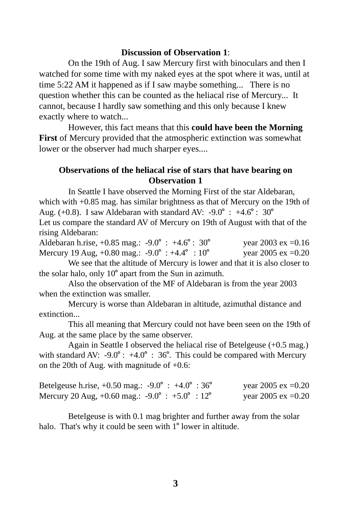### **Discussion of Observation 1**:

On the 19th of Aug. I saw Mercury first with binoculars and then I watched for some time with my naked eyes at the spot where it was, until at time 5:22 AM it happened as if I saw maybe something... There is no question whether this can be counted as the heliacal rise of Mercury... It cannot, because I hardly saw something and this only because I knew exactly where to watch...

However, this fact means that this **could have been the Morning First** of Mercury provided that the atmospheric extinction was somewhat lower or the observer had much sharper eyes....

### **Observations of the heliacal rise of stars that have bearing on Observation 1**

In Seattle I have observed the Morning First of the star Aldebaran, which with +0.85 mag. has similar brightness as that of Mercury on the 19th of Aug. (+0.8). I saw Aldebaran with standard AV: -9.0° : +4.6° : 30° Let us compare the standard AV of Mercury on 19th of August with that of the rising Aldebaran:

| Aldebaran h.rise, $+0.85$ mag.: $-9.0^{\circ}$ : $+4.6^{\circ}$ : 30 <sup>°</sup> | year 2003 ex = $0.16$ |
|-----------------------------------------------------------------------------------|-----------------------|
| Mercury 19 Aug, +0.80 mag.: $-9.0^{\circ}$ : +4.4° : 10°                          | year 2005 ex = $0.20$ |

We see that the altitude of Mercury is lower and that it is also closer to the solar halo, only  $10^{\circ}$  apart from the Sun in azimuth.

Also the observation of the MF of Aldebaran is from the year 2003 when the extinction was smaller.

Mercury is worse than Aldebaran in altitude, azimuthal distance and extinction...

This all meaning that Mercury could not have been seen on the 19th of Aug. at the same place by the same observer.

Again in Seattle I observed the heliacal rise of Betelgeuse (+0.5 mag.) with standard AV: -9.0° :  $+4.0^{\circ}$  : 36°. This could be compared with Mercury on the 20th of Aug. with magnitude of +0.6:

| Betelgeuse h.rise, $+0.50$ mag.: $-9.0^{\circ}$ : $+4.0^{\circ}$ : 36 <sup>°</sup> |  |  | year 2005 ex = $0.20$ |  |
|------------------------------------------------------------------------------------|--|--|-----------------------|--|
| Mercury 20 Aug, +0.60 mag.: $-9.0^{\circ}$ : $+5.0^{\circ}$ : 12 <sup>o</sup>      |  |  | year 2005 ex = $0.20$ |  |

Betelgeuse is with 0.1 mag brighter and further away from the solar halo. That's why it could be seen with  $1^{\circ}$  lower in altitude.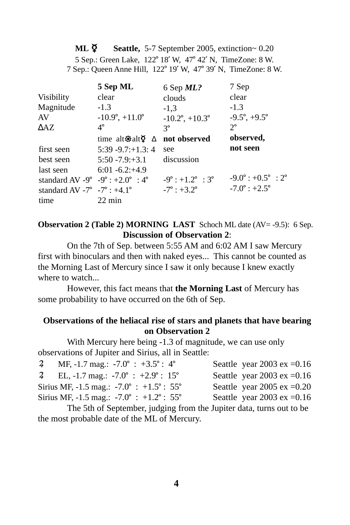**ML**  $\boldsymbol{\Sigma}$  **Seattle, 5-7 September 2005, extinction~ 0.20** 5 Sep.: Green Lake, 122° 18' W, 47° 42' N, TimeZone: 8 W. 7 Sep.: Queen Anne Hill, 122° 19' W, 47° 39' N, TimeZone: 8 W.

| 5 Sep ML                                | 6 Sep ML?                         | 7 Sep                                         |
|-----------------------------------------|-----------------------------------|-----------------------------------------------|
| clear                                   | clouds                            | clear                                         |
| $-1.3$                                  | $-1,3$                            | $-1.3$                                        |
| $-10.9^{\circ}, +11.0^{\circ}$          | $-10.2^{\circ}$ , $+10.3^{\circ}$ | $-9.5^{\circ}, +9.5^{\circ}$                  |
| $4^{\circ}$                             | $3^{\circ}$                       | $2^{\circ}$                                   |
| time alt $\otimes$ alt $\circ$ $\Delta$ | not observed                      | observed,                                     |
| $5:39 - 9.7: +1.3:4$                    | see                               | not seen                                      |
| $5:50 - 7.9 + 3.1$                      | discussion                        |                                               |
| $6:01 - 6.2 + 4.9$                      |                                   |                                               |
| standard AV -9° -9° : +2.0° : 4°        | $-9^\circ$ : +1.2° : 3°           | $-9.0^{\circ}$ : $+0.5^{\circ}$ : $2^{\circ}$ |
| standard AV -7° -7° : +4.1°             | $-7^{\circ}$ : $+3.2^{\circ}$     | $-7.0^{\circ}$ : $+2.5^{\circ}$               |
| $22 \text{ min}$                        |                                   |                                               |
|                                         |                                   |                                               |

**Observation 2 (Table 2) MORNING LAST** Schoch ML date (AV= -9.5): 6 Sep. **Discussion of Observation 2**:

On the 7th of Sep. between 5:55 AM and 6:02 AM I saw Mercury first with binoculars and then with naked eyes... This cannot be counted as the Morning Last of Mercury since I saw it only because I knew exactly where to watch...

However, this fact means that **the Morning Last** of Mercury has some probability to have occurred on the 6th of Sep.

# **Observations of the heliacal rise of stars and planets that have bearing on Observation 2**

With Mercury here being -1.3 of magnitude, we can use only observations of Jupiter and Sirius, all in Seattle:

| $\overline{a}$ | MF, -1.7 mag.: $-7.0^{\circ}$ : $+3.5^{\circ}$ : 4°         | Seattle year 2003 ex = $0.16$ |
|----------------|-------------------------------------------------------------|-------------------------------|
|                | 2 EL, -1.7 mag.: $-7.0^{\circ}$ : $+2.9^{\circ}$ : 15°      | Seattle year 2003 ex = $0.16$ |
|                | Sirius MF, -1.5 mag.: -7.0° : +1.5° : 55°                   | Seattle year 2005 ex = $0.20$ |
|                | Sirius MF, -1.5 mag.: $-7.0^{\circ}$ : $+1.2^{\circ}$ : 55° | Seattle year 2003 ex = $0.16$ |
|                |                                                             |                               |

The 5th of September, judging from the Jupiter data, turns out to be the most probable date of the ML of Mercury.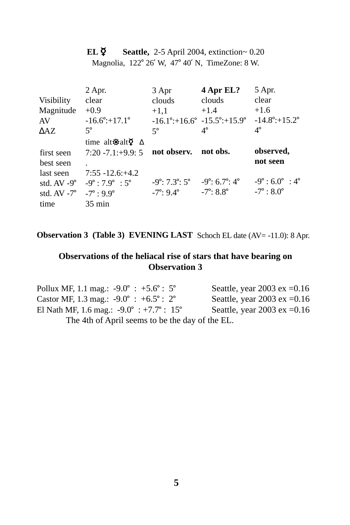**EL**  $\breve{\mathbf{Q}}$  **Seattle, 2-5 April 2004, extinction~ 0.20** Magnolia, 122° 26′ W, 47° 40′ N, TimeZone: 8 W.

| $2$ Apr.                                | 3 Apr                 | 4 Apr EL?                      | 5 Apr.                                                                            |
|-----------------------------------------|-----------------------|--------------------------------|-----------------------------------------------------------------------------------|
| clear                                   | clouds                | clouds                         | clear                                                                             |
| $+0.9$                                  | $+1.1$                | $+1.4$                         | $+1.6$                                                                            |
| $-16.6^{\circ}$ :+17.1°                 |                       |                                | $-14.8^{\circ}$ :+15.2°                                                           |
| $5^\circ$                               | $5^{\circ}$           | $4^{\circ}$                    | $4^{\circ}$                                                                       |
| time alt $\otimes$ alt $\circ$ $\Delta$ |                       |                                |                                                                                   |
| $7:20 - 7.1: +9.9:5$                    | not observ.           | not obs.                       | observed,                                                                         |
|                                         |                       |                                | not seen                                                                          |
| $7:55 - 12.6$ ; +4.2                    |                       |                                |                                                                                   |
| $-9^\circ$ : 7.9° : 5°                  |                       |                                | $-9^\circ$ : 6.0° : 4°                                                            |
| $-7^{\circ}$ : 9.9°                     | $-7^\circ: 9.4^\circ$ | $-7^\circ: 8.8^\circ$          | $-7^{\circ}$ : 8.0 $^{\circ}$                                                     |
| $35 \text{ min}$                        |                       |                                |                                                                                   |
|                                         |                       | $-9^\circ: 7.3^\circ: 5^\circ$ | $-16.1^{\circ}$ :+16.6° $-15.5^{\circ}$ :+15.9°<br>$-9^\circ: 6.7^\circ: 4^\circ$ |

**Observation 3 (Table 3) EVENING LAST** Schoch EL date (AV= -11.0): 8 Apr.

# **Observations of the heliacal rise of stars that have bearing on Observation 3**

| Pollux MF, 1.1 mag.: $-9.0^{\circ}$ : $+5.6^{\circ}$ : 5°   | Seattle, year 2003 ex = $0.16$ |
|-------------------------------------------------------------|--------------------------------|
| Castor MF, 1.3 mag.: $-9.0^{\circ}$ : $+6.5^{\circ}$ : 2°   | Seattle, year 2003 ex = $0.16$ |
| El Nath MF, 1.6 mag.: $-9.0^{\circ}$ : $+7.7^{\circ}$ : 15° | Seattle, year 2003 ex = $0.16$ |
| The 4th of April seems to be the day of the EL.             |                                |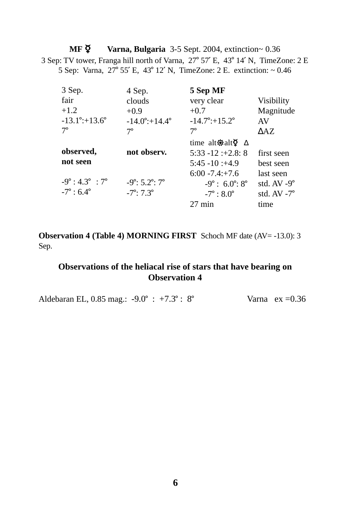**MF**  $\breve{\mathbf{Q}}$  **<b>Varna, Bulgaria** 3-5 Sept. 2004, extinction~ 0.36 3 Sep: TV tower, Franga hill north of Varna,  $27^{\circ}$  57' E,  $43^{\circ}$  14' N, TimeZone: 2 E 5 Sep: Varna,  $27^{\circ}$  55' E, 43° 12' N, TimeZone: 2 E. extinction:  $\sim 0.46$ 

| 3 Sep.                         | 4 Sep.                         | 5 Sep MF                                |                       |
|--------------------------------|--------------------------------|-----------------------------------------|-----------------------|
| fair                           | clouds                         | very clear                              | <b>Visibility</b>     |
| $+1.2$                         | $+0.9$                         | $+0.7$                                  | Magnitude             |
| $-13.1^{\circ}$ :+13.6°        | $-14.0^\circ + 14.4^\circ$     | $-14.7^{\circ}$ :+15.2°                 | AV                    |
| $7^\circ$                      | $7^{\circ}$                    | $7^{\circ}$                             | $\triangle$ AZ        |
|                                |                                | time alt $\otimes$ alt $\circ$ $\Delta$ |                       |
| observed,                      | not observ.                    | $5:33 - 12 : +2.8:8$                    | first seen            |
| not seen                       |                                | $5:45 - 10:44.9$                        | best seen             |
|                                |                                | $6:00 - 7.4: +7.6$                      | last seen             |
| $-9^\circ: 4.3^\circ: 7^\circ$ | $-9^\circ: 5.2^\circ: 7^\circ$ | $-9^\circ$ : 6.0°: 8°                   | std. $AV -9^{\circ}$  |
| $-7^{\circ}$ : 6.4 $^{\circ}$  | $-7^\circ$ : $7.3^\circ$       | $-7^{\circ}$ : 8.0°                     | std. $AV - 7^{\circ}$ |
|                                |                                | $27 \text{ min}$                        | time                  |

**Observation 4 (Table 4) MORNING FIRST** Schoch MF date (AV= -13.0): 3 Sep.

# **Observations of the heliacal rise of stars that have bearing on Observation 4**

Aldebaran EL,  $0.85$  mag.:  $-9.0^{\circ}$  :  $+7.3^{\circ}$  :  $8^{\circ}$  Varna ex =0.36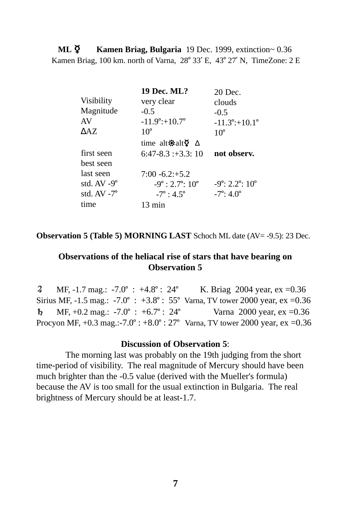**ML**  $\overline{Q}$  **<b>Kamen Briag, Bulgaria** 19 Dec. 1999, extinction~ 0.36 Kamen Briag,  $100 \text{ km}$ . north of Varna,  $28^{\circ} 33'$  E,  $43^{\circ} 27'$  N, TimeZone:  $2 \text{ E}$ 

|                                           | 20 Dec.                         |
|-------------------------------------------|---------------------------------|
| very clear                                | clouds                          |
| $-0.5$                                    | $-0.5$                          |
| $-11.9^{\circ}$ :+10.7°                   | $-11.3^{\circ}$ :+10.1°         |
| $10^{\circ}$                              | $10^{\circ}$                    |
| time alt $\otimes$ alt $\otimes$ $\Delta$ |                                 |
| $6:47-8.3;+3.3;10$                        | not observ.                     |
|                                           |                                 |
| $7:00 - 6.2 + 5.2$                        |                                 |
| $-9^\circ$ : 2.7°: 10°                    | $-9^\circ: 2.2^\circ: 10^\circ$ |
| $-7^{\circ}$ : 4.5°                       | $-7^{\circ}$ : 4.0°             |
| $13 \text{ min}$                          |                                 |
|                                           | 19 Dec. ML?                     |

**Observation 5 (Table 5) MORNING LAST** Schoch ML date (AV= -9.5): 23 Dec.

## **Observations of the heliacal rise of stars that have bearing on Observation 5**

2 MF, -1.7 mag.: -7.0° : +4.8° : 24° K. Briag 2004 year, ex =0.36 Sirius MF, -1.5 mag.: -7.0° : +3.8° : 55° Varna, TV tower 2000 year, ex =0.36 **b** MF,  $+0.2$  mag.:  $-7.0^{\circ}$  :  $+6.7^{\circ}$  : 24<sup>°</sup> Varna 2000 year, ex =0.36 Procyon MF,  $+0.3$  mag.:-7.0° :  $+8.0^{\circ}$  : 27° Varna, TV tower 2000 year, ex =0.36

#### **Discussion of Observation 5**:

The morning last was probably on the 19th judging from the short time-period of visibility. The real magnitude of Mercury should have been much brighter than the -0.5 value (derived with the Mueller's formula) because the AV is too small for the usual extinction in Bulgaria. The real brightness of Mercury should be at least-1.7.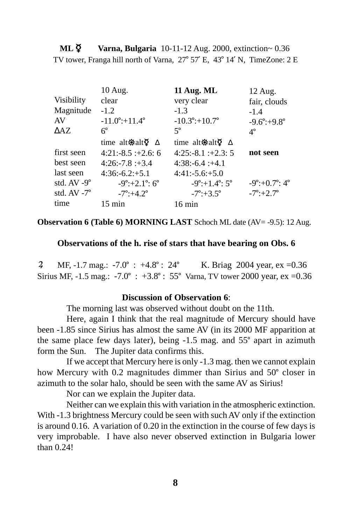**ML**  $\breve{\mathsf{Q}}$  **Varna, Bulgaria** 10-11-12 Aug. 2000, extinction~ 0.36 TV tower, Franga hill north of Varna,  $27^{\circ}$  57' E, 43° 14' N, TimeZone: 2 E

|                       | 10 Aug.                                 | 11 Aug. ML                              | 12 Aug.                         |
|-----------------------|-----------------------------------------|-----------------------------------------|---------------------------------|
| <b>Visibility</b>     | clear                                   | very clear                              | fair, clouds                    |
| Magnitude             | $-1.2$                                  | $-1.3$                                  | $-1.4$                          |
| AV                    | $-11.0^{\circ}$ :+11.4°                 | $-10.3^{\circ}$ :+10.7°                 | $-9.6^\circ + 9.8^\circ$        |
| $\triangle$ AZ        | $6^{\circ}$                             | $5^{\circ}$                             | $4^{\circ}$                     |
|                       | time alt $\otimes$ alt $\circ$ $\Delta$ | time alt $\otimes$ alt $\circ$ $\Delta$ |                                 |
| first seen            | $4:21:-8.5:+2.6:6$                      | $4:25:-8.1:+2.3:5$                      | not seen                        |
| best seen             | $4:26: -7.8: +3.4$                      | $4:38: -6.4: +4.1$                      |                                 |
| last seen             | $4:36: -6.2: +5.1$                      | $4:41:-5.6:+5.0$                        |                                 |
| std. $AV -9^\circ$    | $-9^\circ$ :+2.1°: 6°                   | $-9^\circ$ :+1.4°: 5°                   | $-9^\circ: +0.7^\circ: 4^\circ$ |
| std. $AV - 7^{\circ}$ | $-7^{\circ}:+4.2^{\circ}$               | $-7^{\circ}:+3.5^{\circ}$               | $-7^{\circ}:+2.7^{\circ}$       |
| time                  | $15 \text{ min}$                        | $16 \text{ min}$                        |                                 |

**Observation 6 (Table 6) MORNING LAST** Schoch ML date (AV= -9.5): 12 Aug.

**Observations of the h. rise of stars that have bearing on Obs. 6**

4 MF, -1.7 mag.: -7.0° : +4.8° : 24° K. Briag 2004 year, ex =0.36 Sirius MF, -1.5 mag.: -7.0° : +3.8° : 55° Varna, TV tower 2000 year, ex =0.36

### **Discussion of Observation 6**:

The morning last was observed without doubt on the 11th.

Here, again I think that the real magnitude of Mercury should have been -1.85 since Sirius has almost the same AV (in its 2000 MF apparition at the same place few days later), being  $-1.5$  mag. and  $55^\circ$  apart in azimuth form the Sun. The Jupiter data confirms this.

If we accept that Mercury here is only -1.3 mag. then we cannot explain how Mercury with 0.2 magnitudes dimmer than Sirius and 50° closer in azimuth to the solar halo, should be seen with the same AV as Sirius!

Nor can we explain the Jupiter data.

Neither can we explain this with variation in the atmospheric extinction. With  $-1.3$  brightness Mercury could be seen with such AV only if the extinction is around 0.16. A variation of 0.20 in the extinction in the course of few days is very improbable. I have also never observed extinction in Bulgaria lower than 0.24!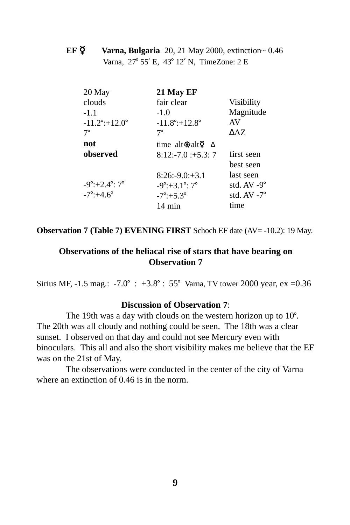**EF**  $\overline{Q}$  **Varna, Bulgaria** 20, 21 May 2000, extinction~ 0.46 Varna, 27° 55' E, 43° 12' N, TimeZone: 2 E

| 21 May EF                                             |                       |
|-------------------------------------------------------|-----------------------|
| fair clear                                            | <b>Visibility</b>     |
| $-1.0$                                                | Magnitude             |
| $-11.8^\circ$ :+12.8°                                 | AV                    |
| $7^\circ$                                             | $\triangle$ AZ        |
| time alt $\ddot{\otimes}$ alt $\ddot{\circ}$ $\Delta$ |                       |
| $8:12:-7.0:+5.3:7$                                    | first seen            |
|                                                       | best seen             |
| $8:26: -9.0: +3.1$                                    | last seen             |
| $-9^\circ$ :+3.1°: 7°                                 | std. AV -9°           |
| $-7^{\circ}:+5.3^{\circ}$                             | std. $AV - 7^{\circ}$ |
| 14 min                                                | time                  |
|                                                       |                       |

**Observation 7 (Table 7) EVENING FIRST** Schoch EF date (AV= -10.2): 19 May.

### **Observations of the heliacal rise of stars that have bearing on Observation 7**

Sirius MF, -1.5 mag.: -7.0° : +3.8° : 55° Varna, TV tower 2000 year, ex =0.36

### **Discussion of Observation 7**:

The 19th was a day with clouds on the western horizon up to  $10^{\circ}$ . The 20th was all cloudy and nothing could be seen. The 18th was a clear sunset. I observed on that day and could not see Mercury even with binoculars. This all and also the short visibility makes me believe that the EF was on the 21st of May.

The observations were conducted in the center of the city of Varna where an extinction of 0.46 is in the norm.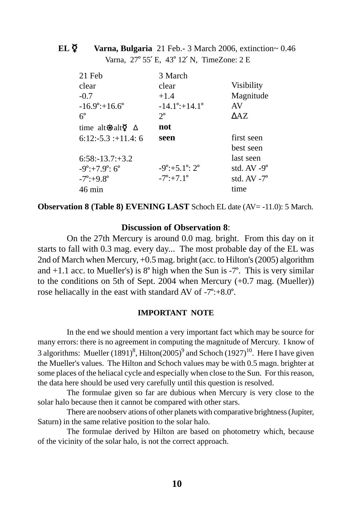# **EL**  $\overline{Q}$  Varna, Bulgaria 21 Feb.- 3 March 2006, extinction~ 0.46 Varna, 27° 55' E, 43° 12' N, TimeZone: 2 E

| 21 Feb                                  | 3 March                    |                      |
|-----------------------------------------|----------------------------|----------------------|
| clear                                   | clear                      | <b>Visibility</b>    |
| $-0.7$                                  | $+1.4$                     | Magnitude            |
| $-16.9^{\circ}$ :+16.6°                 | $-14.1^\circ + 14.1^\circ$ | AV                   |
| $6^{\circ}$                             | $2^{\circ}$                | $\triangle$ AZ       |
| time alt $\otimes$ alt $\circ$ $\Delta$ | not                        |                      |
| $6:12:-5.3::+11.4:6$                    | seen                       | first seen           |
|                                         |                            | best seen            |
| $6:58:13.7:+3.2$                        |                            | last seen            |
| $-9^\circ$ :+7.9°: 6°                   | $-9^\circ$ :+5.1°: 2°      | std. $AV -9^{\circ}$ |
| $-7^{\circ}$ :+9.8°                     | $-7^{\circ}:+7.1^{\circ}$  | std. $AV - 7^\circ$  |
| $46 \text{ min}$                        |                            | time                 |

**Observation 8 (Table 8) EVENING LAST** Schoch EL date (AV= -11.0): 5 March.

### **Discussion of Observation 8**:

On the 27th Mercury is around 0.0 mag. bright. From this day on it starts to fall with 0.3 mag. every day... The most probable day of the EL was 2nd of March when Mercury, +0.5 mag. bright (acc. to Hilton's (2005) algorithm and  $+1.1$  acc. to Mueller's) is 8° high when the Sun is -7°. This is very similar to the conditions on 5th of Sept. 2004 when Mercury (+0.7 mag. (Mueller)) rose heliacally in the east with standard AV of  $-7^\circ$ : $+8.0^\circ$ .

#### **IMPORTANT NOTE**

In the end we should mention a very important fact which may be source for many errors: there is no agreement in computing the magnitude of Mercury. I know of 3 algorithms: Mueller  $(1891)^8$ , Hilton $(2005)^9$  and Schoch  $(1927)^{10}$ . Here I have given the Mueller's values. The Hilton and Schoch values may be with 0.5 magn. brighter at some places of the heliacal cycle and especially when close to the Sun. For this reason, the data here should be used very carefully until this question is resolved.

The formulae given so far are dubious when Mercury is very close to the solar halo because then it cannot be compared with other stars.

There are noobserv ations of other planets with comparative brightness (Jupiter, Saturn) in the same relative position to the solar halo.

The formulae derived by Hilton are based on photometry which, because of the vicinity of the solar halo, is not the correct approach.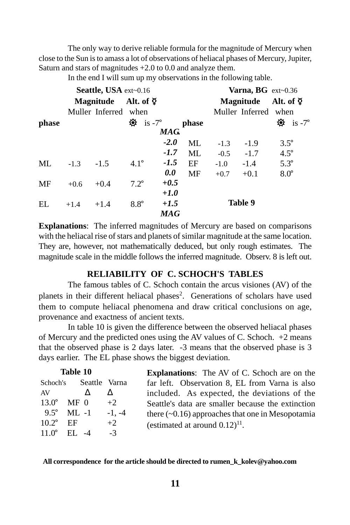The only way to derive reliable formula for the magnitude of Mercury when close to the Sun is to amass a lot of observations of heliacal phases of Mercury, Jupiter, Saturn and stars of magnitudes +2.0 to 0.0 and analyze them.

In the end I will sum up my observations in the following table.

|       | Seattle, USA ext~0.16 |                      |                          |        |           |        | Varna, BG ext~0.36   |                           |  |
|-------|-----------------------|----------------------|--------------------------|--------|-----------|--------|----------------------|---------------------------|--|
|       |                       |                      | Magnitude Alt. of $\Phi$ |        | Magnitude |        | Alt. of $\Phi$       |                           |  |
|       |                       | Muller Inferred when |                          |        |           |        | Muller Inferred when |                           |  |
| phase |                       |                      | $\oint$ is -7°           |        | phase     |        |                      | $\hat{\mathbf{Q}}$ is -7° |  |
|       |                       |                      |                          | MAG.   |           |        |                      |                           |  |
|       |                       |                      |                          | $-2.0$ | <b>ML</b> | $-1.3$ | $-1.9$               | $3.5^{\circ}$             |  |
|       |                       |                      |                          | $-1.7$ | <b>ML</b> | $-0.5$ | $-1.7$               | $4.5^\circ$               |  |
| ML.   | $-1.3$                | $-1.5$               | $4.1^{\circ}$            | $-1.5$ | EF        | $-1.0$ | $-1.4$               | $5.3^\circ$               |  |
|       |                       |                      |                          | 0.0    | <b>MF</b> | $+0.7$ | $+0.1$               | $8.0^\circ$               |  |
| MF    | $+0.6$                | $+0.4$               | $7.2^\circ$              | $+0.5$ |           |        |                      |                           |  |
|       |                       |                      |                          | $+1.0$ |           |        |                      |                           |  |
| EL    | $+1.4$                | $+1.4$               | $8.8^\circ$              | $+1.5$ |           |        | Table 9              |                           |  |
|       |                       |                      |                          | MAG    |           |        |                      |                           |  |

**Explanations**: The inferred magnitudes of Mercury are based on comparisons with the heliacal rise of stars and planets of similar magnitude at the same location. They are, however, not mathematically deduced, but only rough estimates. The magnitude scale in the middle follows the inferred magnitude. Observ. 8 is left out.

# **RELIABILITY OF C. SCHOCH'S TABLES**

The famous tables of C. Schoch contain the arcus visiones (AV) of the planets in their different heliacal phases<sup>2</sup>. Generations of scholars have used them to compute heliacal phenomena and draw critical conclusions on age, provenance and exactness of ancient texts.

In table 10 is given the difference between the observed heliacal phases of Mercury and the predicted ones using the AV values of C. Schoch. +2 means that the observed phase is 2 days later. -3 means that the observed phase is 3 days earlier. The EL phase shows the biggest deviation.

|                     | Table 10               |          | <b>Explanations:</b> The AV of C. Schoch are on the    |  |  |  |  |  |
|---------------------|------------------------|----------|--------------------------------------------------------|--|--|--|--|--|
|                     | Schoch's Seattle Varna |          | far left. Observation 8, EL from Varna is also         |  |  |  |  |  |
| AV                  |                        |          | included. As expected, the deviations of the           |  |  |  |  |  |
| $13.0^{\circ}$ MF 0 |                        | $+2$     | Seattle's data are smaller because the extinction      |  |  |  |  |  |
|                     | $9.5^{\circ}$ ML-1     | $-1. -4$ | there $(\sim 0.16)$ approaches that one in Mesopotamia |  |  |  |  |  |
| $10.2^\circ$ EF     |                        | $+2$     | (estimated at around $(0.12)^{11}$ .                   |  |  |  |  |  |
|                     | $11.0^{\circ}$ EL -4   | $-3$     |                                                        |  |  |  |  |  |

 **All correspondence for the article should be directed to rumen\_k\_kolev@yahoo.com**